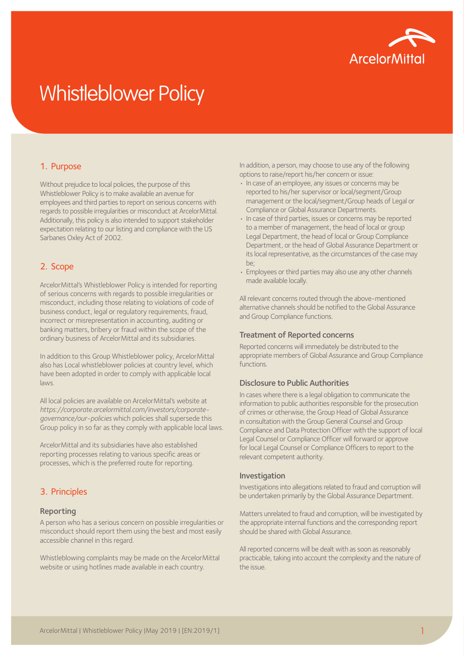

# Whistleblower Policy

## 1. Purpose

Without prejudice to local policies, the purpose of this Whistleblower Policy is to make available an avenue for employees and third parties to report on serious concerns with regards to possible irregularities or misconduct at ArcelorMittal. Additionally, this policy is also intended to support stakeholder expectation relating to our listing and compliance with the US Sarbanes Oxley Act of 2002.

## 2. Scope

ArcelorMittal's Whistleblower Policy is intended for reporting of serious concerns with regards to possible irregularities or misconduct, including those relating to violations of code of business conduct, legal or regulatory requirements, fraud, incorrect or misrepresentation in accounting, auditing or banking matters, bribery or fraud within the scope of the ordinary business of ArcelorMittal and its subsidiaries.

In addition to this Group Whistleblower policy, ArcelorMittal also has Local whistleblower policies at country level, which have been adopted in order to comply with applicable local laws.

All local policies are available on ArcelorMittal's website at *[https://corporate.arcelormittal.com/investors/corporate](https://corporate.arcelormittal.com/investors/corporate-governance/our-policies )[governance/our-policies](https://corporate.arcelormittal.com/investors/corporate-governance/our-policies )* which policies shall supersede this Group policy in so far as they comply with applicable local laws.

ArcelorMittal and its subsidiaries have also established reporting processes relating to various specific areas or processes, which is the preferred route for reporting.

## 3. Principles

#### Reporting

A person who has a serious concern on possible irregularities or misconduct should report them using the best and most easily accessible channel in this regard.

Whistleblowing complaints may be made on the ArcelorMittal website or using hotlines made available in each country.

In addition, a person, may choose to use any of the following options to raise/report his/her concern or issue:

- In case of an employee, any issues or concerns may be reported to his/her supervisor or local/segment/Group management or the local/segment/Group heads of Legal or Compliance or Global Assurance Departments.
- In case of third parties, issues or concerns may be reported to a member of management, the head of local or group Legal Department, the head of local or Group Compliance Department, or the head of Global Assurance Department or its local representative, as the circumstances of the case may be;
- Employees or third parties may also use any other channels made available locally.

All relevant concerns routed through the above-mentioned alternative channels should be notified to the Global Assurance and Group Compliance functions.

#### Treatment of Reported concerns

Reported concerns will immediately be distributed to the appropriate members of Global Assurance and Group Compliance functions.

### Disclosure to Public Authorities

In cases where there is a legal obligation to communicate the information to public authorities responsible for the prosecution of crimes or otherwise, the Group Head of Global Assurance in consultation with the Group General Counsel and Group Compliance and Data Protection Officer with the support of local Legal Counsel or Compliance Officer will forward or approve for local Legal Counsel or Compliance Officers to report to the relevant competent authority.

#### Investigation

Investigations into allegations related to fraud and corruption will be undertaken primarily by the Global Assurance Department.

Matters unrelated to fraud and corruption, will be investigated by the appropriate internal functions and the corresponding report should be shared with Global Assurance.

All reported concerns will be dealt with as soon as reasonably practicable, taking into account the complexity and the nature of the issue.